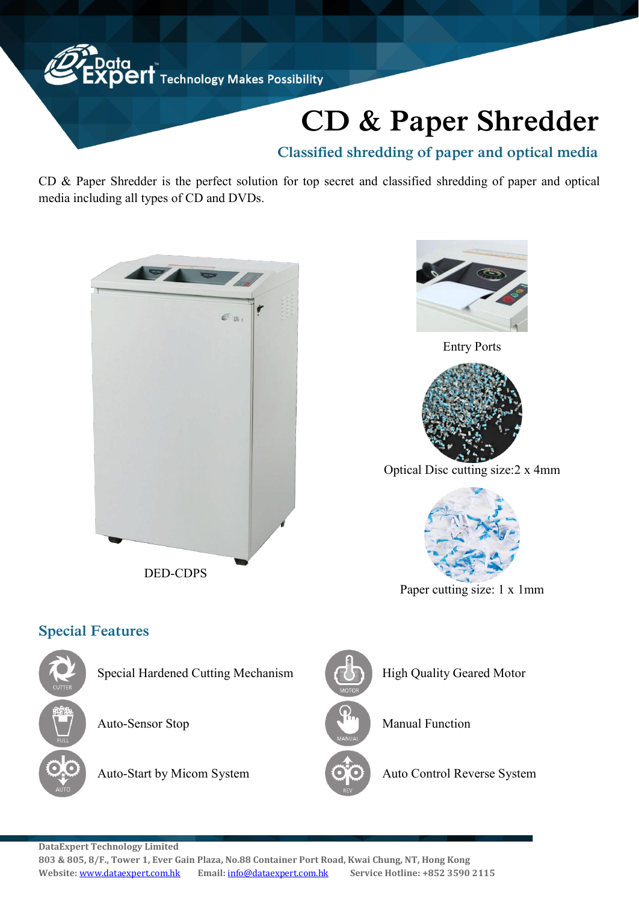

## **CD & Paper Shredder**

## **Classified shredding of paper and optical media**

CD & Paper Shredder is the perfect solution for top secret and classified shredding of paper and optical media including all types of CD and DVDs.





Entry Ports



Optical Disc cutting size:2 x 4mm



Paper cutting size: 1 x 1mm

## **Special Features**